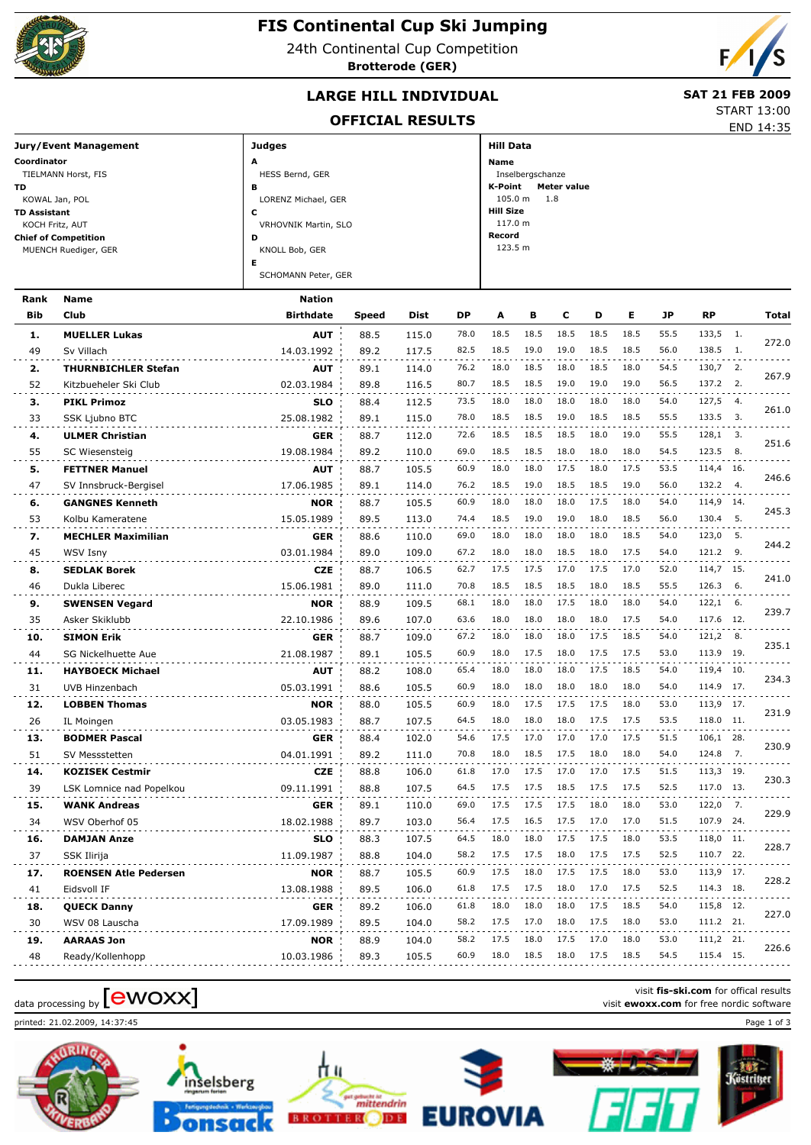

# **FIS Continental Cup Ski Jumping**

24th Continental Cup Competition

**Brotterode (GER)**



### **LARGE HILL INDIVIDUAL** SAT 21 FEB 2009

# **OFFICIAL RESULTS** END 14:35

START 13:00

| Jury/Event Management       | <b>Judges</b>        | <b>Hill Data</b>              |
|-----------------------------|----------------------|-------------------------------|
| Coordinator                 | А                    | <b>Name</b>                   |
| TIELMANN Horst, FIS         | HESS Bernd, GER      | Inselbergschanze              |
| TD.                         | в                    | K-Point<br><b>Meter value</b> |
| KOWAL Jan, POL              | LORENZ Michael, GER  | 105.0 m<br>1.8                |
| <b>TD Assistant</b>         | c                    | <b>Hill Size</b>              |
| KOCH Fritz, AUT             | VRHOVNIK Martin, SLO | 117.0 m                       |
| <b>Chief of Competition</b> | D                    | Record                        |
| MUENCH Ruediger, GER        | KNOLL Bob, GER       | 123.5 m                       |
|                             | Е                    |                               |
|                             | SCHOMANN Peter, GER  |                               |

| Rank | <b>Name</b>                  | <b>Nation</b>    |              |             |      |      |      |      |      |      |      |           |                             |              |
|------|------------------------------|------------------|--------------|-------------|------|------|------|------|------|------|------|-----------|-----------------------------|--------------|
| Bib  | <b>Club</b>                  | <b>Birthdate</b> | <b>Speed</b> | <b>Dist</b> | DP   | A    | в    | c    | D    | Е    | JP   | <b>RP</b> |                             | <b>Total</b> |
| 1.   | <b>MUELLER Lukas</b>         | <b>AUT</b>       | 88.5         | 115.0       | 78.0 | 18.5 | 18.5 | 18.5 | 18.5 | 18.5 | 55.5 | 133,5     | 1.                          |              |
| 49   | Sv Villach                   | 14.03.1992       | 89.2         | 117.5       | 82.5 | 18.5 | 19.0 | 19.0 | 18.5 | 18.5 | 56.0 | 138.5 1.  |                             | 272.0        |
| 2.   | <b>THURNBICHLER Stefan</b>   | <b>AUT</b>       | 89.1         | 114.0       | 76.2 | 18.0 | 18.5 | 18.0 | 18.5 | 18.0 | 54.5 | 130,7     | $\overline{\phantom{a}}$ 2. |              |
| 52   | Kitzbueheler Ski Club        | 02.03.1984       | 89.8         | 116.5       | 80.7 | 18.5 | 18.5 | 19.0 | 19.0 | 19.0 | 56.5 | 137.2     | $\overline{2}$ .            | 267.9        |
| з.   | <b>PIKL Primoz</b>           | <b>SLO</b>       | 88.4         | 112.5       | 73.5 | 18.0 | 18.0 | 18.0 | 18.0 | 18.0 | 54.0 | 127,5     | 4.                          |              |
| 33   | <b>SSK Ljubno BTC</b>        | 25.08.1982       | 89.1         | 115.0       | 78.0 | 18.5 | 18.5 | 19.0 | 18.5 | 18.5 | 55.5 | 133.5     | 3.                          | 261.0        |
| 4.   | <b>ULMER Christian</b>       | <b>GER</b>       | 88.7         | 112.0       | 72.6 | 18.5 | 18.5 | 18.5 | 18.0 | 19.0 | 55.5 | 128,1 3.  |                             | 251.6        |
| 55   | SC Wiesensteig               | 19.08.1984       | 89.2         | 110.0       | 69.0 | 18.5 | 18.5 | 18.0 | 18.0 | 18.0 | 54.5 | 123.5     | 8.                          |              |
| 5.   | <b>FETTNER Manuel</b>        | <b>AUT</b>       | 88.7         | 105.5       | 60.9 | 18.0 | 18.0 | 17.5 | 18.0 | 17.5 | 53.5 | 114,4 16. |                             | 246.6        |
| 47   | SV Innsbruck-Bergisel        | 17.06.1985       | 89.1         | 114.0       | 76.2 | 18.5 | 19.0 | 18.5 | 18.5 | 19.0 | 56.0 | 132.2 4.  |                             |              |
| 6.   | <b>GANGNES Kenneth</b>       | <b>NOR</b>       | 88.7         | 105.5       | 60.9 | 18.0 | 18.0 | 18.0 | 17.5 | 18.0 | 54.0 | 114,9 14. |                             | 245.3        |
| 53   | Kolbu Kameratene             | 15.05.1989       | 89.5         | 113.0       | 74.4 | 18.5 | 19.0 | 19.0 | 18.0 | 18.5 | 56.0 | 130.4     | 5.                          |              |
| 7.   | <b>MECHLER Maximilian</b>    | <b>GER</b>       | 88.6         | 110.0       | 69.0 | 18.0 | 18.0 | 18.0 | 18.0 | 18.5 | 54.0 | 123,0     | 5.                          | 244.2        |
| 45   | WSV Isny                     | 03.01.1984       | 89.0         | 109.0       | 67.2 | 18.0 | 18.0 | 18.5 | 18.0 | 17.5 | 54.0 | 121.2     | 9.                          |              |
| 8.   | <b>SEDLAK Borek</b>          | <b>CZE</b>       | 88.7         | 106.5       | 62.7 | 17.5 | 17.5 | 17.0 | 17.5 | 17.0 | 52.0 | 114,7 15. |                             | 241.0        |
| 46   | Dukla Liberec                | 15.06.1981       | 89.0         | 111.0       | 70.8 | 18.5 | 18.5 | 18.5 | 18.0 | 18.5 | 55.5 | 126.3     | - 6.                        |              |
| 9.   | <b>SWENSEN Vegard</b>        | <b>NOR</b>       | 88.9         | 109.5       | 68.1 | 18.0 | 18.0 | 17.5 | 18.0 | 18.0 | 54.0 | 122,1     | 6.                          | 239.7        |
| 35   | Asker Skiklubb               | 22.10.1986       | 89.6         | 107.0       | 63.6 | 18.0 | 18.0 | 18.0 | 18.0 | 17.5 | 54.0 | 117.6 12. |                             |              |
| 10.  | <b>SIMON Erik</b>            | <b>GER</b>       | 88.7         | 109.0       | 67.2 | 18.0 | 18.0 | 18.0 | 17.5 | 18.5 | 54.0 | 121,2     | - 8.                        | 235.1        |
| 44   | <b>SG Nickelhuette Aue</b>   | 21.08.1987       | 89.1         | 105.5       | 60.9 | 18.0 | 17.5 | 18.0 | 17.5 | 17.5 | 53.0 | 113.9 19. |                             |              |
| 11.  | <b>HAYBOECK Michael</b>      | <b>AUT</b>       | 88.2         | 108.0       | 65.4 | 18.0 | 18.0 | 18.0 | 17.5 | 18.5 | 54.0 | 119,4 10. |                             | 234.3        |
| 31   | UVB Hinzenbach               | 05.03.1991       | 88.6         | 105.5       | 60.9 | 18.0 | 18.0 | 18.0 | 18.0 | 18.0 | 54.0 | 114.9     | 17.                         |              |
| 12.  | <b>LOBBEN Thomas</b>         | <b>NOR</b>       | 88.0         | 105.5       | 60.9 | 18.0 | 17.5 | 17.5 | 17.5 | 18.0 | 53.0 | 113,9     | 17.                         | 231.9        |
| 26   | IL Moingen                   | 03.05.1983       | 88.7         | 107.5       | 64.5 | 18.0 | 18.0 | 18.0 | 17.5 | 17.5 | 53.5 | 118.0 11. |                             |              |
| 13.  | <b>BODMER Pascal</b>         | <b>GER</b>       | 88.4         | 102.0       | 54.6 | 17.5 | 17.0 | 17.0 | 17.0 | 17.5 | 51.5 | 106,1 28. |                             | 230.9        |
| 51   | SV Messstetten               | 04.01.1991       | 89.2         | 111.0       | 70.8 | 18.0 | 18.5 | 17.5 | 18.0 | 18.0 | 54.0 | 124.8     | 7.                          |              |
| 14.  | <b>KOZISEK Cestmir</b>       | <b>CZE</b>       | 88.8         | 106.0       | 61.8 | 17.0 | 17.5 | 17.0 | 17.0 | 17.5 | 51.5 | 113,3 19. |                             | 230.3        |
| 39   | LSK Lomnice nad Popelkou     | 09.11.1991       | 88.8         | 107.5       | 64.5 | 17.5 | 17.5 | 18.5 | 17.5 | 17.5 | 52.5 | 117.0 13. |                             |              |
| 15.  | <b>WANK Andreas</b>          | <b>GER</b>       | 89.1         | 110.0       | 69.0 | 17.5 | 17.5 | 17.5 | 18.0 | 18.0 | 53.0 | 122,0     | 7.                          | 229.9        |
| 34   | WSV Oberhof 05               | 18.02.1988       | 89.7         | 103.0       | 56.4 | 17.5 | 16.5 | 17.5 | 17.0 | 17.0 | 51.5 | 107.9 24. |                             |              |
| 16.  | <b>DAMJAN Anze</b>           | <b>SLO</b>       | 88.3         | 107.5       | 64.5 | 18.0 | 18.0 | 17.5 | 17.5 | 18.0 | 53.5 | 118,0 11. |                             | 228.7        |
| 37   | <b>SSK Ilirija</b>           | 11.09.1987       | 88.8         | 104.0       | 58.2 | 17.5 | 17.5 | 18.0 | 17.5 | 17.5 | 52.5 | 110.7 22. |                             |              |
| 17.  | <b>ROENSEN Atle Pedersen</b> | <b>NOR</b>       | 88.7         | 105.5       | 60.9 | 17.5 | 18.0 | 17.5 | 17.5 | 18.0 | 53.0 | 113,9 17. |                             | 228.2        |
| 41   | Eidsvoll IF                  | 13.08.1988       | 89.5         | 106.0       | 61.8 | 17.5 | 17.5 | 18.0 | 17.0 | 17.5 | 52.5 | 114.3 18. |                             |              |
| 18.  | <b>QUECK Danny</b>           | <b>GER</b>       | 89.2         | 106.0       | 61.8 | 18.0 | 18.0 | 18.0 | 17.5 | 18.5 | 54.0 | 115,8 12. |                             | 227.0        |
| 30   | WSV 08 Lauscha               | 17.09.1989       | 89.5         | 104.0       | 58.2 | 17.5 | 17.0 | 18.0 | 17.5 | 18.0 | 53.0 | 111.2 21. |                             |              |
| 19.  | <b>AARAAS Jon</b>            | <b>NOR</b>       | 88.9         | 104.0       | 58.2 | 17.5 | 18.0 | 17.5 | 17.0 | 18.0 | 53.0 | 111,2 21. |                             | 226.6        |
| 48   | Ready/Kollenhopp             | 10.03.1986       | 89.3         | 105.5       | 60.9 | 18.0 | 18.5 | 18.0 | 17.5 | 18.5 | 54.5 | 115.4 15. |                             |              |

printed: 21.02.2009, 14:37:45 Page 1 of 3





visit **fis-ski.com** for offical results

data processing by **CWOXX** visit **ewoxx.com** for offical results<br>visit **ewoxx.com** for free nordic software

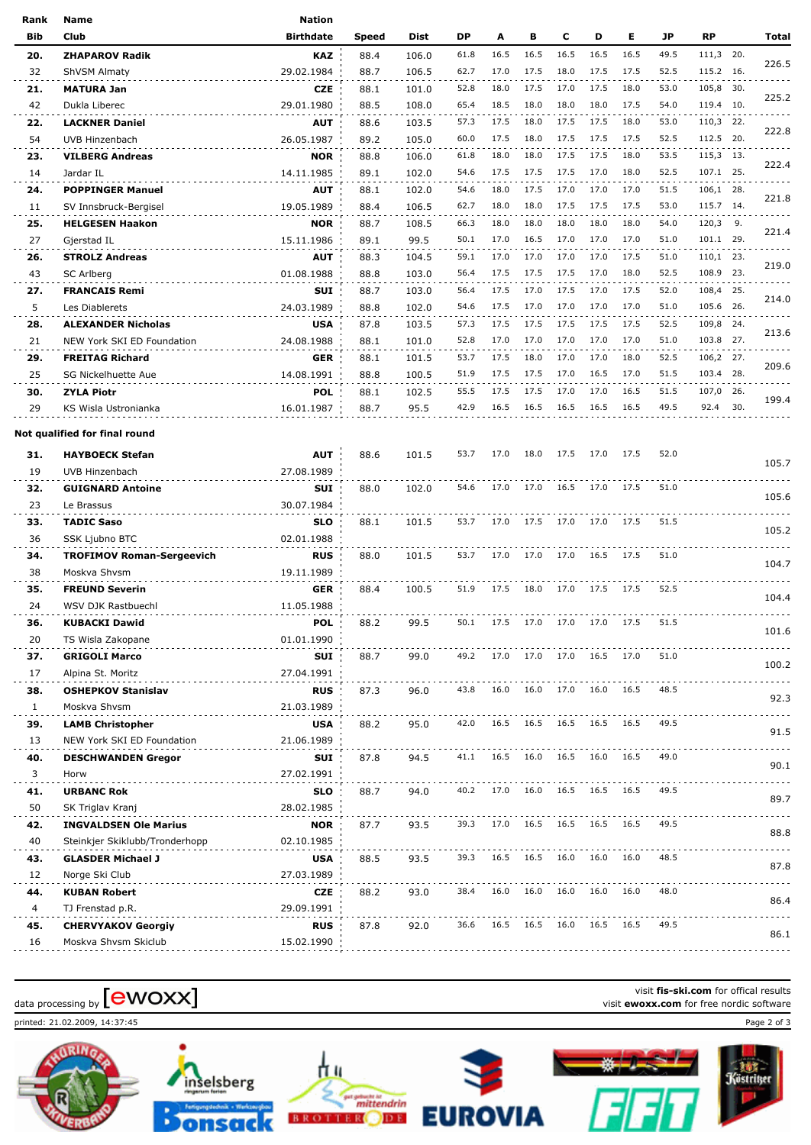| Rank         | Name                             | <b>Nation</b>    |       |                                         |      |                          |           |                          |           |      |      |           |       |
|--------------|----------------------------------|------------------|-------|-----------------------------------------|------|--------------------------|-----------|--------------------------|-----------|------|------|-----------|-------|
| <b>Bib</b>   | Club                             | <b>Birthdate</b> | Speed | <b>Dist</b>                             | DP   | A                        | в         | C                        | D         | Е    | JP   | <b>RP</b> | Total |
| 20.          | <b>ZHAPAROV Radik</b>            | <b>KAZ</b>       | 88.4  | 106.0                                   | 61.8 | 16.5                     | 16.5      | 16.5                     | 16.5      | 16.5 | 49.5 | 111,3 20. | 226.5 |
| 32           | ShVSM Almaty                     | 29.02.1984       | 88.7  | 106.5                                   | 62.7 | 17.0                     | 17.5      | 18.0                     | 17.5      | 17.5 | 52.5 | 115.2 16. |       |
| 21.          | <b>MATURA Jan</b>                | <b>CZE</b>       | 88.1  | 101.0                                   | 52.8 | 18.0                     | 17.5      | 17.0                     | 17.5      | 18.0 | 53.0 | 105,8 30. |       |
| 42           | Dukla Liberec                    | 29.01.1980       | 88.5  | 108.0                                   | 65.4 | 18.5                     | 18.0      | 18.0                     | 18.0      | 17.5 | 54.0 | 119.4 10. | 225.2 |
| 22.          | <b>LACKNER Daniel</b>            | <b>AUT</b>       | 88.6  | 103.5                                   | 57.3 | 17.5                     | 18.0      | 17.5                     | 17.5      | 18.0 | 53.0 | 110,3 22. |       |
| 54           | UVB Hinzenbach                   | 26.05.1987       | 89.2  | 105.0                                   | 60.0 | 17.5                     | 18.0      | 17.5                     | 17.5      | 17.5 | 52.5 | 112.5 20. | 222.8 |
| 23.          | <b>VILBERG Andreas</b>           | <b>NOR</b>       | 88.8  | 106.0                                   | 61.8 | 18.0                     | 18.0      | 17.5                     | 17.5      | 18.0 | 53.5 | 115,3 13. |       |
| 14           | Jardar IL                        | 14.11.1985       | 89.1  | 102.0                                   | 54.6 | 17.5                     | 17.5      | 17.5                     | 17.0      | 18.0 | 52.5 | 107.1 25. | 222.4 |
| 24.          | <b>POPPINGER Manuel</b>          | AUT              | 88.1  | 102.0                                   | 54.6 | 18.0                     | 17.5      | 17.0                     | 17.0      | 17.0 | 51.5 | 106,1 28. |       |
| 11           | SV Innsbruck-Bergisel            | 19.05.1989       | 88.4  | 106.5                                   | 62.7 | 18.0                     | 18.0      | 17.5                     | 17.5      | 17.5 | 53.0 | 115.7 14. | 221.8 |
| 25.          | <b>HELGESEN Haakon</b>           | <b>NOR</b>       | 88.7  | 108.5                                   | 66.3 | 18.0                     | 18.0      | 18.0                     | 18.0      | 18.0 | 54.0 | 120,3 9.  |       |
| 27           | Gjerstad IL                      | 15.11.1986       | 89.1  | 99.5                                    | 50.1 | 17.0                     | 16.5      | 17.0                     | 17.0      | 17.0 | 51.0 | 101.1 29. | 221.4 |
| 26.          | <b>STROLZ Andreas</b>            | <b>AUT</b>       | 88.3  | 104.5                                   | 59.1 | 17.0                     | 17.0      | 17.0                     | 17.0      | 17.5 | 51.0 | 110,1 23. |       |
| 43           | SC Arlberg                       | 01.08.1988       | 88.8  | 103.0                                   | 56.4 | 17.5                     | 17.5      | 17.5                     | 17.0      | 18.0 | 52.5 | 108.9 23. | 219.0 |
| 27.          | <b>FRANCAIS Remi</b>             | SUI              | 88.7  | 103.0                                   | 56.4 | 17.5                     | 17.0      | 17.5                     | 17.0      | 17.5 | 52.0 | 108,4 25. |       |
| 5            | Les Diablerets                   | 24.03.1989       | 88.8  | 102.0                                   | 54.6 | 17.5                     | 17.0      | 17.0                     | 17.0      | 17.0 | 51.0 | 105.6 26. | 214.0 |
| 28.          | <b>ALEXANDER Nicholas</b>        | <b>USA</b>       | 87.8  | 103.5                                   | 57.3 | 17.5                     | 17.5      | 17.5                     | 17.5      | 17.5 | 52.5 | 109,8 24. |       |
| 21           | NEW York SKI ED Foundation       | 24.08.1988       | 88.1  | 101.0                                   | 52.8 | 17.0                     | 17.0      | 17.0                     | 17.0      | 17.0 | 51.0 | 103.8 27. | 213.6 |
| 29.          | <b>FREITAG Richard</b>           | <b>GER</b>       | 88.1  | 101.5                                   | 53.7 | 17.5                     | 18.0      | 17.0                     | 17.0      | 18.0 | 52.5 | 106,2 27. |       |
| 25           | SG Nickelhuette Aue              | 14.08.1991       | 88.8  | 100.5                                   | 51.9 | 17.5                     | 17.5      | 17.0                     | 16.5      | 17.0 | 51.5 | 103.4 28. | 209.6 |
| 30.          | <b>ZYLA Piotr</b>                | <b>POL</b>       | 88.1  | 102.5                                   | 55.5 | 17.5                     | 17.5      | 17.0                     | 17.0      | 16.5 | 51.5 | 107,0 26. |       |
| 29           | KS Wisla Ustronianka             | 16.01.1987       | 88.7  | 95.5                                    | 42.9 | 16.5                     | 16.5      | 16.5                     | 16.5      | 16.5 | 49.5 | 92.4 30.  | 199.4 |
|              |                                  |                  |       |                                         |      |                          |           |                          |           |      |      |           |       |
|              | Not qualified for final round    |                  |       |                                         |      |                          |           |                          |           |      |      |           |       |
| 31.          | <b>HAYBOECK Stefan</b>           | <b>AUT</b>       | 88.6  | 101.5                                   | 53.7 | 17.0                     | 18.0      | 17.5                     | 17.0      | 17.5 | 52.0 |           |       |
| 19           | UVB Hinzenbach                   | 27.08.1989       |       |                                         |      |                          |           |                          |           |      |      |           | 105.7 |
| 32.          | <b>GUIGNARD Antoine</b>          | <b>SUI</b>       | 88.0  | 102.0                                   | 54.6 | 17.0                     | 17.0      | 16.5                     | 17.0 17.5 |      | 51.0 |           |       |
| 23           | Le Brassus                       | 30.07.1984       |       |                                         |      |                          |           |                          |           |      |      |           | 105.6 |
| 33.          | <b>TADIC Saso</b>                | <b>SLO</b>       | 88.1  | 101.5                                   | 53.7 | 17.0                     | 17.5      | 17.0                     | 17.0 17.5 |      | 51.5 |           |       |
| 36           | SSK Ljubno BTC                   | 02.01.1988       |       |                                         |      |                          |           |                          |           |      |      |           | 105.2 |
| 34.          | <b>TROFIMOV Roman-Sergeevich</b> | <b>RUS</b>       | 88.0  | 101.5                                   | 53.7 | 17.0                     | 17.0      | 17.0                     | 16.5      | 17.5 | 51.0 |           |       |
| 38           | Moskva Shvsm                     | 19.11.1989       |       |                                         |      |                          |           |                          |           |      |      |           | 104.7 |
| 35.          | <b>FREUND Severin</b>            | <b>GER</b>       | 88.4  | 100.5                                   | 51.9 | 17.5                     | 18.0      | 17.0                     | 17.5 17.5 |      | 52.5 |           |       |
| 24           | WSV DJK Rastbuechl               | 11.05.1988       |       |                                         |      |                          |           |                          |           |      |      |           | 104.4 |
| 36.          | <b>KUBACKI Dawid</b>             | POL              | 88.2  | 99.5 50.1 17.5 17.0 17.0 17.0 17.5 51.5 |      |                          |           |                          |           |      |      |           |       |
| 20           | TS Wisla Zakopane                | 01.01.1990       |       |                                         |      |                          |           |                          |           |      |      |           | 101.6 |
| 37.          | <b>GRIGOLI Marco</b>             | SUI              | 88.7  | 99.0                                    | 49.2 |                          |           | 17.0 17.0 17.0 16.5 17.0 |           |      | 51.0 | .         |       |
| 17           | Alpina St. Moritz                | 27.04.1991       |       |                                         |      |                          |           |                          |           |      |      |           | 100.2 |
| 38.          | <b>OSHEPKOV Stanislav</b>        | <b>RUS</b>       | 87.3  | 96.0                                    | 43.8 | 16.0                     | 16.0      | 17.0                     | 16.0 16.5 |      | 48.5 |           |       |
| $\mathbf{1}$ | Moskva Shvsm                     | 21.03.1989       |       |                                         |      |                          |           |                          |           |      |      |           | 92.3  |
| 39.          | <b>LAMB Christopher</b>          | <b>USA</b>       | 88.2  | 95.0                                    | 42.0 |                          |           | 16.5 16.5 16.5 16.5 16.5 |           |      | 49.5 |           | .     |
| 13           | NEW York SKI ED Foundation       | 21.06.1989       |       |                                         |      |                          |           |                          |           |      |      |           | 91.5  |
| 40.          | <b>DESCHWANDEN Gregor</b>        | SUI              | 87.8  | 94.5                                    | 41.1 | 16.5 16.0 16.5 16.0 16.5 |           |                          |           |      | 49.0 |           | .     |
| 3            | Horw                             | 27.02.1991       |       |                                         |      |                          |           |                          |           |      |      |           | 90.1  |
| 41.          | <b>URBANC Rok</b>                | <b>SLO</b>       | 88.7  | 94.0                                    | 40.2 | 17.0 16.0 16.5 16.5 16.5 |           |                          |           |      | 49.5 |           |       |
| 50           | SK Triglav Kranj                 | 28.02.1985       |       |                                         |      |                          |           |                          |           |      |      |           | 89.7  |
| 42.          | <b>INGVALDSEN Ole Marius</b>     | <b>NOR</b>       | 87.7  | 93.5                                    | 39.3 |                          |           | 17.0 16.5 16.5 16.5 16.5 |           |      | 49.5 |           | .     |
| 40           | Steinkjer Skiklubb/Tronderhopp   | 02.10.1985       |       |                                         |      |                          |           |                          |           |      |      |           | 88.8  |
| 43.          | <b>GLASDER Michael J</b>         | <b>USA</b>       | 88.5  | 93.5                                    | 39.3 | 16.5                     |           | 16.5 16.0                | 16.0 16.0 |      | 48.5 | .         |       |
| 12           | Norge Ski Club                   | 27.03.1989       |       |                                         |      |                          |           |                          |           |      |      |           | 87.8  |
| 44.          | <b>KUBAN Robert</b>              | <b>CZE</b>       | 88.2  | 93.0                                    | 38.4 | 16.0                     | 16.0 16.0 |                          | 16.0 16.0 |      | 48.0 |           |       |
| 4            | TJ Frenstad p.R.                 | 29.09.1991       |       |                                         |      |                          |           |                          |           |      |      |           | 86.4  |
| 45.          | <b>CHERVYAKOV Georgiy</b>        | <b>RUS</b>       | 87.8  | 92.0                                    | 36.6 | 16.5                     | 16.5 16.0 |                          | 16.5 16.5 |      | 49.5 |           |       |
| 16           | Moskva Shvsm Skiclub             | 15.02.1990       |       |                                         |      |                          |           |                          |           |      |      |           | 86.1  |
|              |                                  |                  |       |                                         |      |                          |           |                          |           |      |      |           |       |

printed: 21.02.2009, 14:37:45 Page 2 of 3





血 gat gebuite ist<br>mittendrin **BROTTER** DE

**EUROVIA** 



visit **fis-ski.com** for offical results data processing by **CWOXX** Next Compared to the NORW Visit **ewoxx.com** for offical results